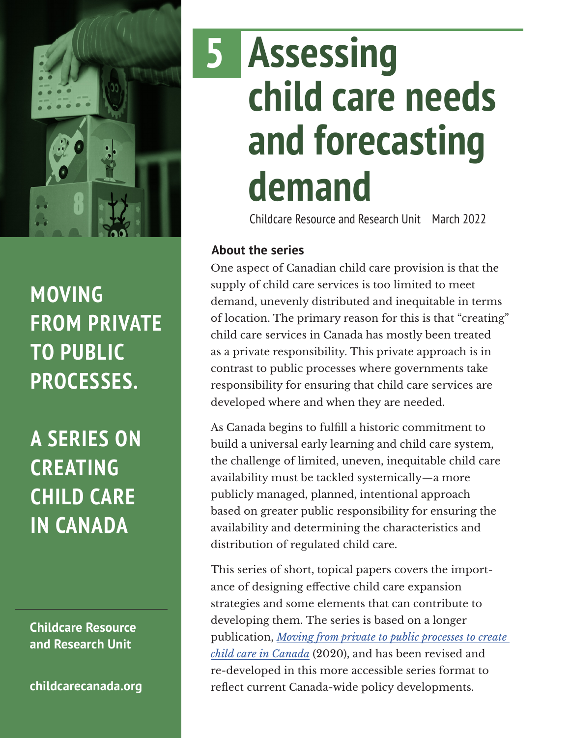

### **MOVING FROM PRIVATE TO PUBLIC PROCESSES.**

**A SERIES ON CREATING CHILD CARE IN CANADA**

**Childcare Resource and Research Unit**

**[childcarecanada.org](http://childcarecanada.org)**

# **Assessing child care needs and forecasting demand 5**

Childcare Resource and Research Unit March 2022

#### **About the series**

One aspect of Canadian child care provision is that the supply of child care services is too limited to meet demand, unevenly distributed and inequitable in terms of location. The primary reason for this is that "creating" child care services in Canada has mostly been treated as a private responsibility. This private approach is in contrast to public processes where governments take responsibility for ensuring that child care services are developed where and when they are needed.

As Canada begins to fulfill a historic commitment to build a universal early learning and child care system, the challenge of limited, uneven, inequitable child care availability must be tackled systemically—a more publicly managed, planned, intentional approach based on greater public responsibility for ensuring the availability and determining the characteristics and distribution of regulated child care.

This series of short, topical papers covers the importance of designing effective child care expansion strategies and some elements that can contribute to developing them. The series is based on a longer publication, *[Moving from private to public processes to create](https://childcarecanada.org/publications/other-publications/20/12/moving-private-public-processes-create-child-care-canada)  [child care in Canada](https://childcarecanada.org/publications/other-publications/20/12/moving-private-public-processes-create-child-care-canada)* (2020), and has been revised and re-developed in this more accessible series format to reflect current Canada-wide policy developments.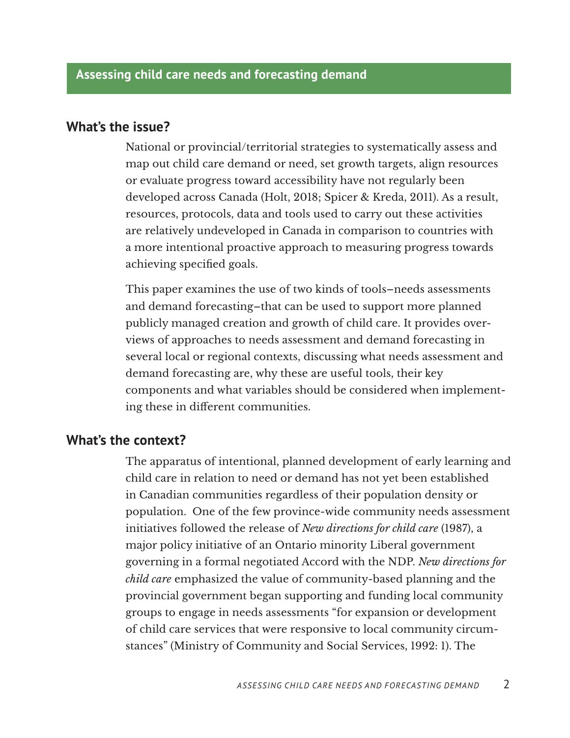#### **What's the issue?**

National or provincial/territorial strategies to systematically assess and map out child care demand or need, set growth targets, align resources or evaluate progress toward accessibility have not regularly been developed across Canada (Holt, 2018; Spicer & Kreda, 2011). As a result, resources, protocols, data and tools used to carry out these activities are relatively undeveloped in Canada in comparison to countries with a more intentional proactive approach to measuring progress towards achieving specified goals.

This paper examines the use of two kinds of tools–needs assessments and demand forecasting–that can be used to support more planned publicly managed creation and growth of child care. It provides overviews of approaches to needs assessment and demand forecasting in several local or regional contexts, discussing what needs assessment and demand forecasting are, why these are useful tools, their key components and what variables should be considered when implementing these in different communities.

#### **What's the context?**

The apparatus of intentional, planned development of early learning and child care in relation to need or demand has not yet been established in Canadian communities regardless of their population density or population. One of the few province-wide community needs assessment initiatives followed the release of *New directions for child care* (1987), a major policy initiative of an Ontario minority Liberal government governing in a formal negotiated Accord with the NDP. *New directions for child care* emphasized the value of community-based planning and the provincial government began supporting and funding local community groups to engage in needs assessments "for expansion or development of child care services that were responsive to local community circumstances" (Ministry of Community and Social Services, 1992: 1). The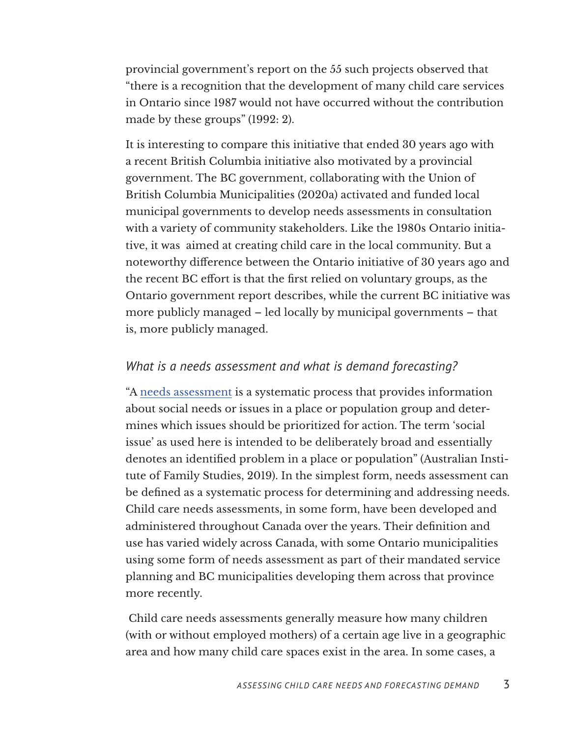provincial government's report on the 55 such projects observed that "there is a recognition that the development of many child care services in Ontario since 1987 would not have occurred without the contribution made by these groups" (1992: 2).

It is interesting to compare this initiative that ended 30 years ago with a recent British Columbia initiative also motivated by a provincial government. The BC government, collaborating with the Union of British Columbia Municipalities (2020a) activated and funded local municipal governments to develop needs assessments in consultation with a variety of community stakeholders. Like the 1980s Ontario initiative, it was aimed at creating child care in the local community. But a noteworthy difference between the Ontario initiative of 30 years ago and the recent BC effort is that the first relied on voluntary groups, as the Ontario government report describes, while the current BC initiative was more publicly managed – led locally by municipal governments – that is, more publicly managed.

#### *What is a needs assessment and what is demand forecasting?*

"A [needs assessment](https://aifs.gov.au/cfca/publications/cfca-paper/needs-assessment/part-one-defining-needs-and-needs-assessment) is a systematic process that provides information about social needs or issues in a place or population group and determines which issues should be prioritized for action. The term 'social issue' as used here is intended to be deliberately broad and essentially denotes an identified problem in a place or population" (Australian Institute of Family Studies, 2019). In the simplest form, needs assessment can be defined as a systematic process for determining and addressing needs. Child care needs assessments, in some form, have been developed and administered throughout Canada over the years. Their definition and use has varied widely across Canada, with some Ontario municipalities using some form of needs assessment as part of their mandated service planning and BC municipalities developing them across that province more recently.

 Child care needs assessments generally measure how many children (with or without employed mothers) of a certain age live in a geographic area and how many child care spaces exist in the area. In some cases, a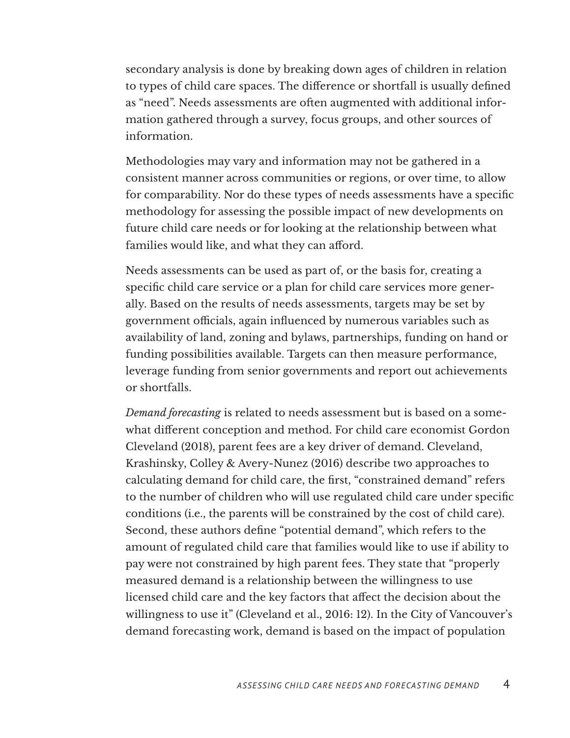secondary analysis is done by breaking down ages of children in relation to types of child care spaces. The difference or shortfall is usually defined as "need". Needs assessments are often augmented with additional information gathered through a survey, focus groups, and other sources of information.

Methodologies may vary and information may not be gathered in a consistent manner across communities or regions, or over time, to allow for comparability. Nor do these types of needs assessments have a specific methodology for assessing the possible impact of new developments on future child care needs or for looking at the relationship between what families would like, and what they can afford.

Needs assessments can be used as part of, or the basis for, creating a specific child care service or a plan for child care services more generally. Based on the results of needs assessments, targets may be set by government officials, again influenced by numerous variables such as availability of land, zoning and bylaws, partnerships, funding on hand or funding possibilities available. Targets can then measure performance, leverage funding from senior governments and report out achievements or shortfalls.

*Demand forecasting* is related to needs assessment but is based on a somewhat different conception and method. For child care economist Gordon Cleveland (2018), parent fees are a key driver of demand. Cleveland, Krashinsky, Colley & Avery-Nunez (2016) describe two approaches to calculating demand for child care, the first, "constrained demand" refers to the number of children who will use regulated child care under specific conditions (i.e., the parents will be constrained by the cost of child care). Second, these authors define "potential demand", which refers to the amount of regulated child care that families would like to use if ability to pay were not constrained by high parent fees. They state that "properly measured demand is a relationship between the willingness to use licensed child care and the key factors that affect the decision about the willingness to use it" (Cleveland et al., 2016: 12). In the City of Vancouver's demand forecasting work, demand is based on the impact of population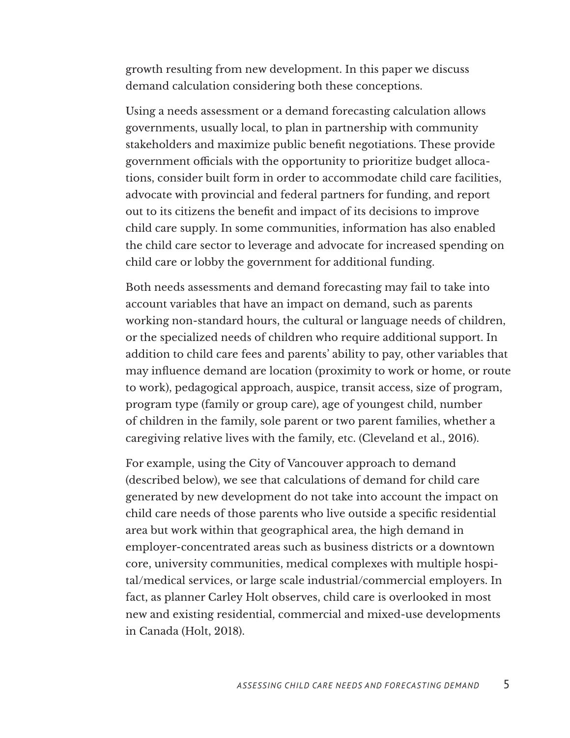growth resulting from new development. In this paper we discuss demand calculation considering both these conceptions.

Using a needs assessment or a demand forecasting calculation allows governments, usually local, to plan in partnership with community stakeholders and maximize public benefit negotiations. These provide government officials with the opportunity to prioritize budget allocations, consider built form in order to accommodate child care facilities, advocate with provincial and federal partners for funding, and report out to its citizens the benefit and impact of its decisions to improve child care supply. In some communities, information has also enabled the child care sector to leverage and advocate for increased spending on child care or lobby the government for additional funding.

Both needs assessments and demand forecasting may fail to take into account variables that have an impact on demand, such as parents working non-standard hours, the cultural or language needs of children, or the specialized needs of children who require additional support. In addition to child care fees and parents' ability to pay, other variables that may influence demand are location (proximity to work or home, or route to work), pedagogical approach, auspice, transit access, size of program, program type (family or group care), age of youngest child, number of children in the family, sole parent or two parent families, whether a caregiving relative lives with the family, etc. (Cleveland et al., 2016).

For example, using the City of Vancouver approach to demand (described below), we see that calculations of demand for child care generated by new development do not take into account the impact on child care needs of those parents who live outside a specific residential area but work within that geographical area, the high demand in employer-concentrated areas such as business districts or a downtown core, university communities, medical complexes with multiple hospital/medical services, or large scale industrial/commercial employers. In fact, as planner Carley Holt observes, child care is overlooked in most new and existing residential, commercial and mixed-use developments in Canada (Holt, 2018).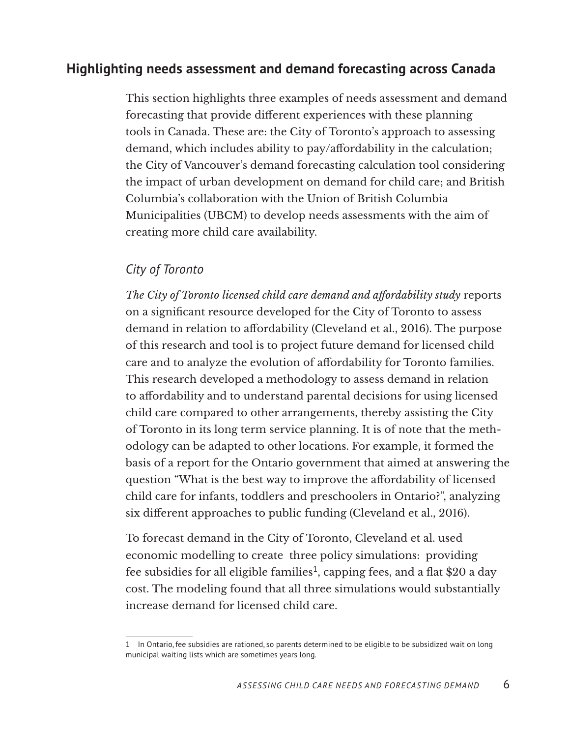#### **Highlighting needs assessment and demand forecasting across Canada**

This section highlights three examples of needs assessment and demand forecasting that provide different experiences with these planning tools in Canada. These are: the City of Toronto's approach to assessing demand, which includes ability to pay/affordability in the calculation; the City of Vancouver's demand forecasting calculation tool considering the impact of urban development on demand for child care; and British Columbia's collaboration with the Union of British Columbia Municipalities (UBCM) to develop needs assessments with the aim of creating more child care availability.

#### *City of Toronto*

*The City of Toronto licensed child care demand and affordability study* reports on a significant resource developed for the City of Toronto to assess demand in relation to affordability (Cleveland et al., 2016). The purpose of this research and tool is to project future demand for licensed child care and to analyze the evolution of affordability for Toronto families. This research developed a methodology to assess demand in relation to affordability and to understand parental decisions for using licensed child care compared to other arrangements, thereby assisting the City of Toronto in its long term service planning. It is of note that the methodology can be adapted to other locations. For example, it formed the basis of a report for the Ontario government that aimed at answering the question "What is the best way to improve the affordability of licensed child care for infants, toddlers and preschoolers in Ontario?", analyzing six different approaches to public funding (Cleveland et al., 2016).

To forecast demand in the City of Toronto, Cleveland et al. used economic modelling to create three policy simulations: providing fee subsidies for all eligible families<sup>1</sup>, capping fees, and a flat \$20 a day cost. The modeling found that all three simulations would substantially increase demand for licensed child care.

<sup>1</sup> In Ontario, fee subsidies are rationed, so parents determined to be eligible to be subsidized wait on long municipal waiting lists which are sometimes years long.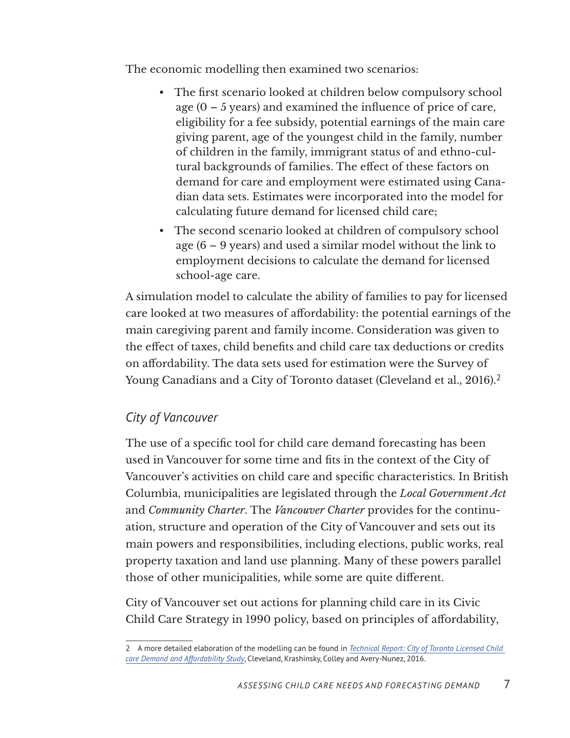The economic modelling then examined two scenarios:

- The first scenario looked at children below compulsory school age  $(0 - 5$  years) and examined the influence of price of care, eligibility for a fee subsidy, potential earnings of the main care giving parent, age of the youngest child in the family, number of children in the family, immigrant status of and ethno-cultural backgrounds of families. The effect of these factors on demand for care and employment were estimated using Canadian data sets. Estimates were incorporated into the model for calculating future demand for licensed child care;
- The second scenario looked at children of compulsory school age (6 – 9 years) and used a similar model without the link to employment decisions to calculate the demand for licensed school-age care.

A simulation model to calculate the ability of families to pay for licensed care looked at two measures of affordability: the potential earnings of the main caregiving parent and family income. Consideration was given to the effect of taxes, child benefits and child care tax deductions or credits on affordability. The data sets used for estimation were the Survey of Young Canadians and a City of Toronto dataset (Cleveland et al., 2016).<sup>2</sup>

#### *City of Vancouver*

The use of a specific tool for child care demand forecasting has been used in Vancouver for some time and fits in the context of the City of Vancouver's activities on child care and specific characteristics. In British Columbia, municipalities are legislated through the *Local Government Act* and *Community Charter*. The *Vancouver Charter* provides for the continuation, structure and operation of the City of Vancouver and sets out its main powers and responsibilities, including elections, public works, real property taxation and land use planning. Many of these powers parallel those of other municipalities, while some are quite different.

City of Vancouver set out actions for planning child care in its Civic Child Care Strategy in 1990 policy, based on principles of affordability,

<sup>2</sup> A more detailed elaboration of the modelling can be found in *[Technical Report: City of Toronto Licensed Child](https://www.researchgate.net/publication/309118792_Technical_Report_City_of_Toronto_Licensed_Child_Care_Demand_and_Affordability_Study)  [care Demand and Affordability Study](https://www.researchgate.net/publication/309118792_Technical_Report_City_of_Toronto_Licensed_Child_Care_Demand_and_Affordability_Study)*, Cleveland, Krashinsky, Colley and Avery-Nunez, 2016.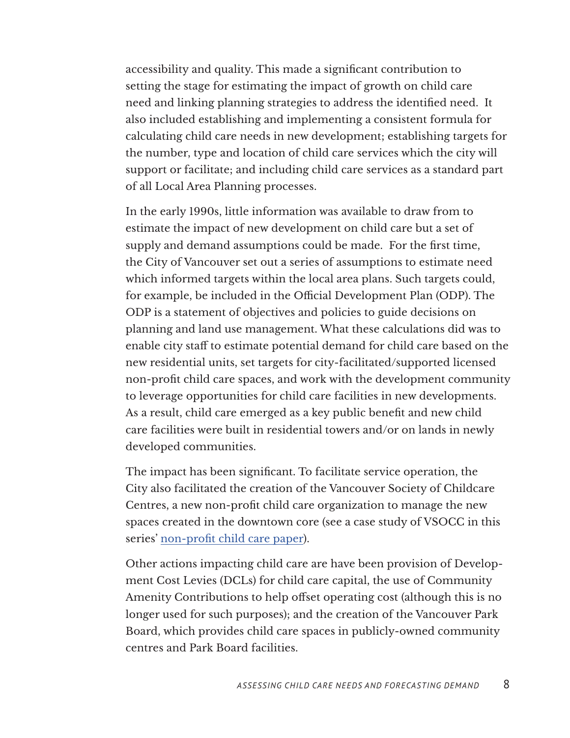accessibility and quality. This made a significant contribution to setting the stage for estimating the impact of growth on child care need and linking planning strategies to address the identified need. It also included establishing and implementing a consistent formula for calculating child care needs in new development; establishing targets for the number, type and location of child care services which the city will support or facilitate; and including child care services as a standard part of all Local Area Planning processes.

In the early 1990s, little information was available to draw from to estimate the impact of new development on child care but a set of supply and demand assumptions could be made. For the first time, the City of Vancouver set out a series of assumptions to estimate need which informed targets within the local area plans. Such targets could, for example, be included in the Official Development Plan (ODP). The ODP is a statement of objectives and policies to guide decisions on planning and land use management. What these calculations did was to enable city staff to estimate potential demand for child care based on the new residential units, set targets for city-facilitated/supported licensed non-profit child care spaces, and work with the development community to leverage opportunities for child care facilities in new developments. As a result, child care emerged as a key public benefit and new child care facilities were built in residential towers and/or on lands in newly developed communities.

The impact has been significant. To facilitate service operation, the City also facilitated the creation of the Vancouver Society of Childcare Centres, a new non-profit child care organization to manage the new spaces created in the downtown core (see a case study of VSOCC in this series' [non-profit child care paper](https://childcarecanada.org/publications/other-publications/22/02/building-capacity-non-profit-child-care-sector)).

Other actions impacting child care are have been provision of Development Cost Levies (DCLs) for child care capital, the use of Community Amenity Contributions to help offset operating cost (although this is no longer used for such purposes); and the creation of the Vancouver Park Board, which provides child care spaces in publicly-owned community centres and Park Board facilities.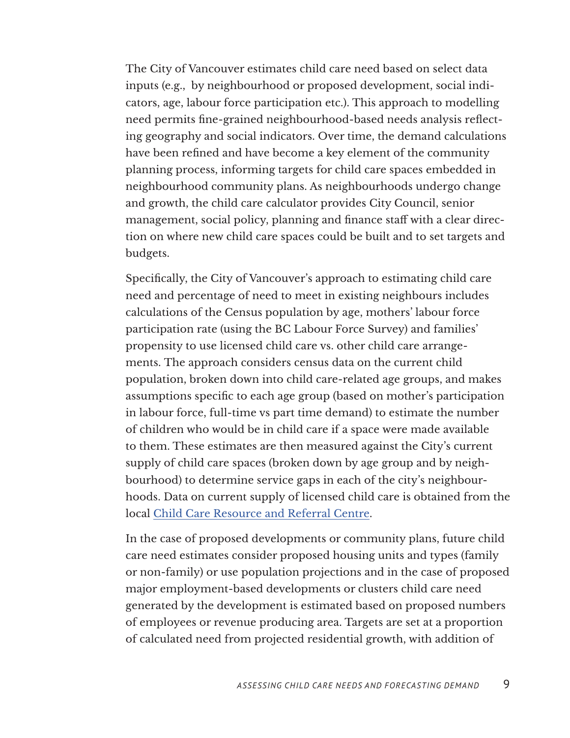The City of Vancouver estimates child care need based on select data inputs (e.g., by neighbourhood or proposed development, social indicators, age, labour force participation etc.). This approach to modelling need permits fine-grained neighbourhood-based needs analysis reflecting geography and social indicators. Over time, the demand calculations have been refined and have become a key element of the community planning process, informing targets for child care spaces embedded in neighbourhood community plans. As neighbourhoods undergo change and growth, the child care calculator provides City Council, senior management, social policy, planning and finance staff with a clear direction on where new child care spaces could be built and to set targets and budgets.

Specifically, the City of Vancouver's approach to estimating child care need and percentage of need to meet in existing neighbours includes calculations of the Census population by age, mothers' labour force participation rate (using the BC Labour Force Survey) and families' propensity to use licensed child care vs. other child care arrangements. The approach considers census data on the current child population, broken down into child care-related age groups, and makes assumptions specific to each age group (based on mother's participation in labour force, full-time vs part time demand) to estimate the number of children who would be in child care if a space were made available to them. These estimates are then measured against the City's current supply of child care spaces (broken down by age group and by neighbourhood) to determine service gaps in each of the city's neighbourhoods. Data on current supply of licensed child care is obtained from the local [Child Care Resource and Referral Centre](https://www2.gov.bc.ca/gov/content/family-social-supports/caring-for-young-children/how-to-access-child-care/child-care-resource-referral-centre).

In the case of proposed developments or community plans, future child care need estimates consider proposed housing units and types (family or non-family) or use population projections and in the case of proposed major employment-based developments or clusters child care need generated by the development is estimated based on proposed numbers of employees or revenue producing area. Targets are set at a proportion of calculated need from projected residential growth, with addition of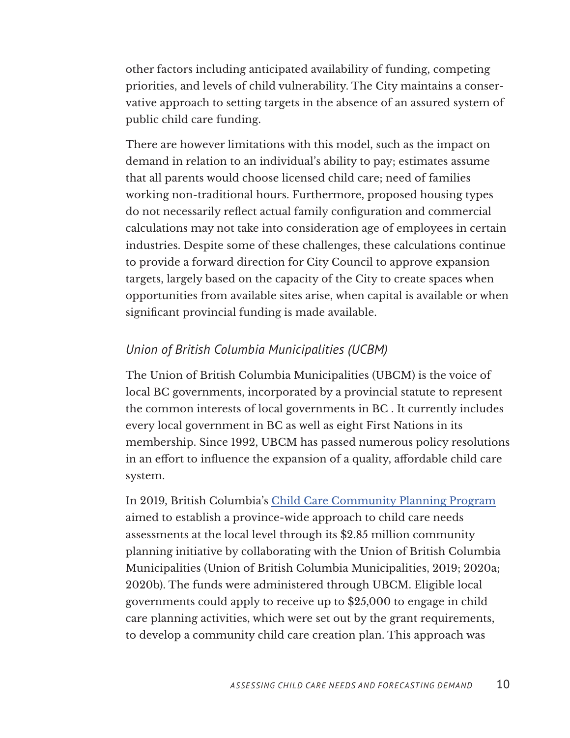other factors including anticipated availability of funding, competing priorities, and levels of child vulnerability. The City maintains a conservative approach to setting targets in the absence of an assured system of public child care funding.

There are however limitations with this model, such as the impact on demand in relation to an individual's ability to pay; estimates assume that all parents would choose licensed child care; need of families working non-traditional hours. Furthermore, proposed housing types do not necessarily reflect actual family configuration and commercial calculations may not take into consideration age of employees in certain industries. Despite some of these challenges, these calculations continue to provide a forward direction for City Council to approve expansion targets, largely based on the capacity of the City to create spaces when opportunities from available sites arise, when capital is available or when significant provincial funding is made available.

#### *Union of British Columbia Municipalities (UCBM)*

The Union of British Columbia Municipalities (UBCM) is the voice of local BC governments, incorporated by a provincial statute to represent the common interests of local governments in BC . It currently includes every local government in BC as well as eight First Nations in its membership. Since 1992, UBCM has passed numerous policy resolutions in an effort to influence the expansion of a quality, affordable child care system.

In 2019, British Columbia's [Child Care Community Planning Program](https://www.ubcm.ca/sites/default/files/2021-05/childcare-2019-planning-program-guide.pdf) aimed to establish a province-wide approach to child care needs assessments at the local level through its \$2.85 million community planning initiative by collaborating with the Union of British Columbia Municipalities (Union of British Columbia Municipalities, 2019; 2020a; 2020b). The funds were administered through UBCM. Eligible local governments could apply to receive up to \$25,000 to engage in child care planning activities, which were set out by the grant requirements, to develop a community child care creation plan. This approach was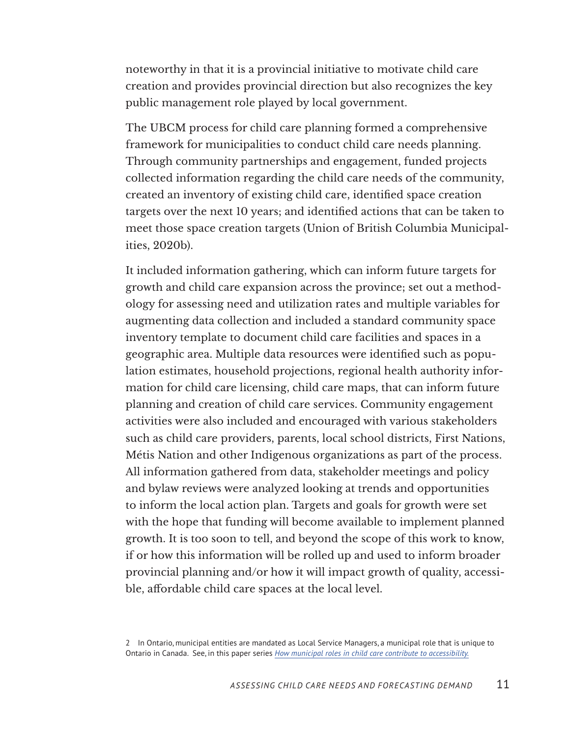noteworthy in that it is a provincial initiative to motivate child care creation and provides provincial direction but also recognizes the key public management role played by local government.

The UBCM process for child care planning formed a comprehensive framework for municipalities to conduct child care needs planning. Through community partnerships and engagement, funded projects collected information regarding the child care needs of the community, created an inventory of existing child care, identified space creation targets over the next 10 years; and identified actions that can be taken to meet those space creation targets (Union of British Columbia Municipalities, 2020b).

It included information gathering, which can inform future targets for growth and child care expansion across the province; set out a methodology for assessing need and utilization rates and multiple variables for augmenting data collection and included a standard community space inventory template to document child care facilities and spaces in a geographic area. Multiple data resources were identified such as population estimates, household projections, regional health authority information for child care licensing, child care maps, that can inform future planning and creation of child care services. Community engagement activities were also included and encouraged with various stakeholders such as child care providers, parents, local school districts, First Nations, Métis Nation and other Indigenous organizations as part of the process. All information gathered from data, stakeholder meetings and policy and bylaw reviews were analyzed looking at trends and opportunities to inform the local action plan. Targets and goals for growth were set with the hope that funding will become available to implement planned growth. It is too soon to tell, and beyond the scope of this work to know, if or how this information will be rolled up and used to inform broader provincial planning and/or how it will impact growth of quality, accessible, affordable child care spaces at the local level.

<sup>2</sup> In Ontario, municipal entities are mandated as Local Service Managers, a municipal role that is unique to Ontario in Canada. See, in this paper series *[How municipal roles in child care contribute to accessibility.](https://childcarecanada.org/publications/other-publications/22/02/how-municipal-roles-child-care-contribute-accessibility)*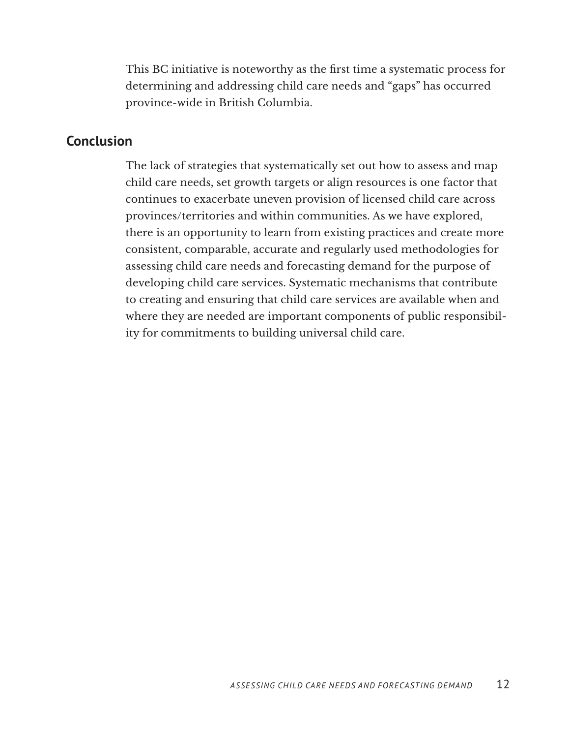This BC initiative is noteworthy as the first time a systematic process for determining and addressing child care needs and "gaps" has occurred province-wide in British Columbia.

#### **Conclusion**

The lack of strategies that systematically set out how to assess and map child care needs, set growth targets or align resources is one factor that continues to exacerbate uneven provision of licensed child care across provinces/territories and within communities. As we have explored, there is an opportunity to learn from existing practices and create more consistent, comparable, accurate and regularly used methodologies for assessing child care needs and forecasting demand for the purpose of developing child care services. Systematic mechanisms that contribute to creating and ensuring that child care services are available when and where they are needed are important components of public responsibility for commitments to building universal child care.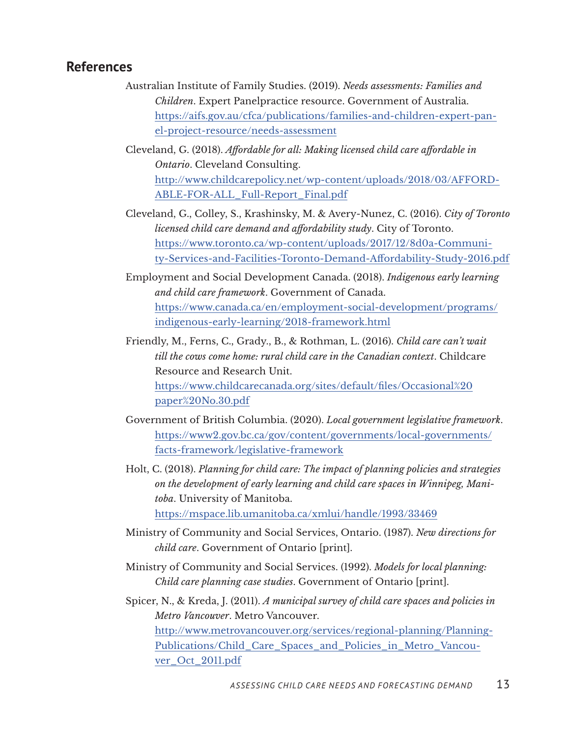#### **References**

Australian Institute of Family Studies. (2019). *Needs assessments: Families and Children*. Expert Panelpractice resource. Government of Australia. [https://aifs.gov.au/cfca/publications/families-and-children-expert-pan](https://aifs.gov.au/cfca/publications/families-and-children-expert-panel-project-resource/needs-assessment)[el-project-resource/needs-assessment](https://aifs.gov.au/cfca/publications/families-and-children-expert-panel-project-resource/needs-assessment)

Cleveland, G. (2018). *Affordable for all: Making licensed child care affordable in Ontario*. Cleveland Consulting. [http://www.childcarepolicy.net/wp-content/uploads/2018/03/AFFORD-](http://www.childcarepolicy.net/wp-content/uploads/2018/03/AFFORDABLE-FOR-ALL_Full-Report_Final.pdf)[ABLE-FOR-ALL\\_Full-Report\\_Final.pdf](http://www.childcarepolicy.net/wp-content/uploads/2018/03/AFFORDABLE-FOR-ALL_Full-Report_Final.pdf)

- Cleveland, G., Colley, S., Krashinsky, M. & Avery-Nunez, C. (2016). *City of Toronto licensed child care demand and affordability study*. City of Toronto. [https://www.toronto.ca/wp-content/uploads/2017/12/8d0a-Communi](https://www.toronto.ca/wp-content/uploads/2017/12/8d0a-Community-Services-and-Facilities-Toronto-Demand-Affordability-Study-2016.pdf)[ty-Services-and-Facilities-Toronto-Demand-Affordability-Study-2016.pdf](https://www.toronto.ca/wp-content/uploads/2017/12/8d0a-Community-Services-and-Facilities-Toronto-Demand-Affordability-Study-2016.pdf)
- Employment and Social Development Canada. (2018). *Indigenous early learning and child care framework*. Government of Canada. [https://www.canada.ca/en/employment-social-development/programs/](https://www.canada.ca/en/employment-social-development/programs/indigenous-early-learning/2018-framework.html) [indigenous-early-learning/2018-framework.html](https://www.canada.ca/en/employment-social-development/programs/indigenous-early-learning/2018-framework.html)
- Friendly, M., Ferns, C., Grady., B., & Rothman, L. (2016). *Child care can't wait till the cows come home: rural child care in the Canadian context*. Childcare Resource and Research Unit. [https://www.childcarecanada.org/sites/default/files/Occasional%20](https://www.childcarecanada.org/sites/default/files/Occasional%20paper%20No.30.pdf) [paper%20No.30.pdf](https://www.childcarecanada.org/sites/default/files/Occasional%20paper%20No.30.pdf)
- Government of British Columbia. (2020). *Local government legislative framework*. [https://www2.gov.bc.ca/gov/content/governments/local-governments/](https://www2.gov.bc.ca/gov/content/governments/local-governments/facts-framework/legislative-framework) [facts-framework/legislative-framework](https://www2.gov.bc.ca/gov/content/governments/local-governments/facts-framework/legislative-framework)
- Holt, C. (2018). *Planning for child care: The impact of planning policies and strategies on the development of early learning and child care spaces in Winnipeg, Manitoba*. University of Manitoba. <https://mspace.lib.umanitoba.ca/xmlui/handle/1993/33469>
- Ministry of Community and Social Services, Ontario. (1987). *New directions for child care*. Government of Ontario [print].
- Ministry of Community and Social Services. (1992). *Models for local planning: Child care planning case studies*. Government of Ontario [print].
- Spicer, N., & Kreda, J. (2011). *A municipal survey of child care spaces and policies in Metro Vancouver*. Metro Vancouver. [http://www.metrovancouver.org/services/regional-planning/Planning-](http://www.metrovancouver.org/services/regional-planning/PlanningPublications/Child_Care_Spaces_and_Policies_in_Metro_Vancouver_Oct_2011.pdf)[Publications/Child\\_Care\\_Spaces\\_and\\_Policies\\_in\\_Metro\\_Vancou](http://www.metrovancouver.org/services/regional-planning/PlanningPublications/Child_Care_Spaces_and_Policies_in_Metro_Vancouver_Oct_2011.pdf)[ver\\_Oct\\_2011.pdf](http://www.metrovancouver.org/services/regional-planning/PlanningPublications/Child_Care_Spaces_and_Policies_in_Metro_Vancouver_Oct_2011.pdf)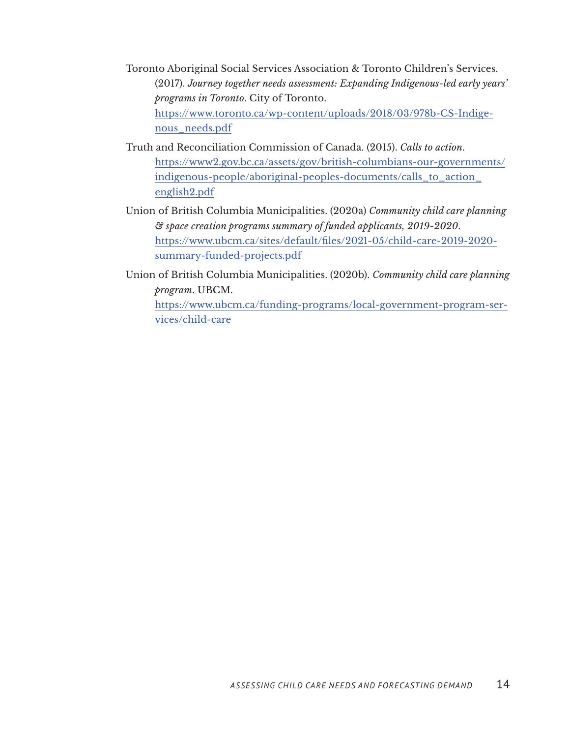- Toronto Aboriginal Social Services Association & Toronto Children's Services. (2017). *Journey together needs assessment: Expanding Indigenous-led early years' programs in Toronto*. City of Toronto. [https://www.toronto.ca/wp-content/uploads/2018/03/978b-CS-Indige](https://www.toronto.ca/wp-content/uploads/2018/03/978b-CS-Indigenous_needs.pdf)[nous\\_needs.pdf](https://www.toronto.ca/wp-content/uploads/2018/03/978b-CS-Indigenous_needs.pdf)
- Truth and Reconciliation Commission of Canada. (2015). *Calls to action*. [https://www2.gov.bc.ca/assets/gov/british-columbians-our-governments/](https://www2.gov.bc.ca/assets/gov/british-columbians-our-governments/indigenous-people/aboriginal-peoples-documents/calls_to_action_english2.pdf) [indigenous-people/aboriginal-peoples-documents/calls\\_to\\_action\\_](https://www2.gov.bc.ca/assets/gov/british-columbians-our-governments/indigenous-people/aboriginal-peoples-documents/calls_to_action_english2.pdf) [english2.pdf](https://www2.gov.bc.ca/assets/gov/british-columbians-our-governments/indigenous-people/aboriginal-peoples-documents/calls_to_action_english2.pdf)
- Union of British Columbia Municipalities. (2020a) *Community child care planning & space creation programs summary of funded applicants, 2019-2020*. [https://www.ubcm.ca/sites/default/files/2021-05/child-care-2019-2020](https://www.ubcm.ca/sites/default/files/2021-05/child-care-2019-2020-summary-funded-projects.pdf) [summary-funded-projects.pdf](https://www.ubcm.ca/sites/default/files/2021-05/child-care-2019-2020-summary-funded-projects.pdf)
- Union of British Columbia Municipalities. (2020b). *Community child care planning program*. UBCM.

[https://www.ubcm.ca/funding-programs/local-government-program-ser](https://www.ubcm.ca/funding-programs/local-government-program-services/child-care)[vices/child-care](https://www.ubcm.ca/funding-programs/local-government-program-services/child-care)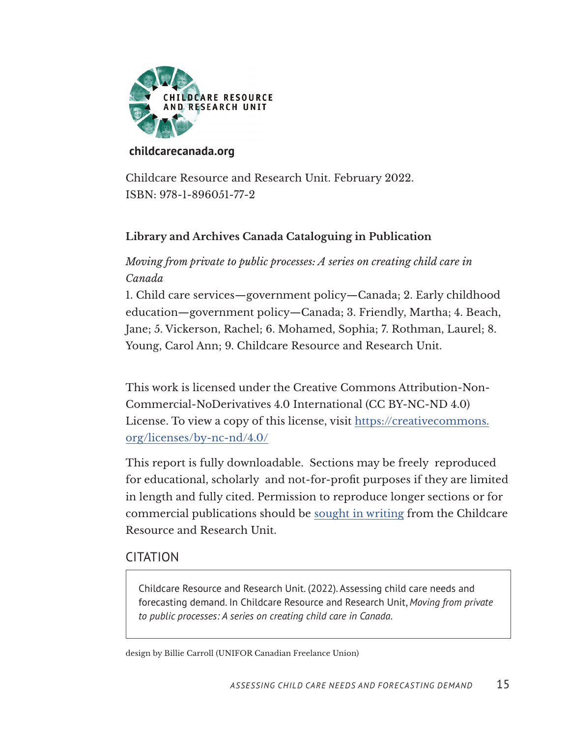

#### **[childcarecanada.org](https://childcarecanada.org)**

Childcare Resource and Research Unit. February 2022. ISBN: 978-1-896051-77-2

#### **Library and Archives Canada Cataloguing in Publication**

#### *Moving from private to public processes: A series on creating child care in Canada*

1. Child care services—government policy—Canada; 2. Early childhood education—government policy—Canada; 3. Friendly, Martha; 4. Beach, Jane; 5. Vickerson, Rachel; 6. Mohamed, Sophia; 7. Rothman, Laurel; 8. Young, Carol Ann; 9. Childcare Resource and Research Unit.

This work is licensed under the Creative Commons Attribution-Non-Commercial-NoDerivatives 4.0 International (CC BY-NC-ND 4.0) License. To view a copy of this license, visit [https://creativecommons.](https://creativecommons.org/licenses/by-nc-nd/4.0/) [org/licenses/by-nc-nd/4.0/](https://creativecommons.org/licenses/by-nc-nd/4.0/)

This report is fully downloadable. Sections may be freely reproduced for educational, scholarly and not-for-profit purposes if they are limited in length and fully cited. Permission to reproduce longer sections or for commercial publications should be [sought in writing](https://childcarecanada.org/contact) from the Childcare Resource and Research Unit.

#### CITATION

Childcare Resource and Research Unit. (2022). Assessing child care needs and forecasting demand. In Childcare Resource and Research Unit, *Moving from private to public processes: A series on creating child care in Canada*.

design by Billie Carroll (UNIFOR Canadian Freelance Union)